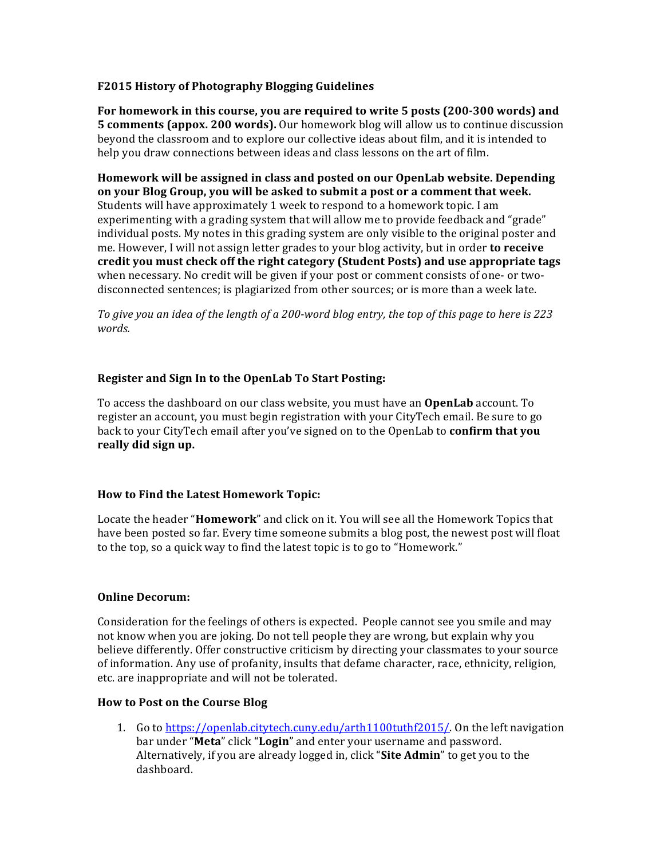# **F2015 History of Photography Blogging Guidelines**

For homework in this course, you are required to write 5 posts (200-300 words) and **5 comments (appox. 200 words).** Our homework blog will allow us to continue discussion beyond the classroom and to explore our collective ideas about film, and it is intended to help you draw connections between ideas and class lessons on the art of film.

**Homework will be assigned in class and posted on our OpenLab website. Depending** on your Blog Group, you will be asked to submit a post or a comment that week. Students will have approximately 1 week to respond to a homework topic. I am experimenting with a grading system that will allow me to provide feedback and "grade" individual posts. My notes in this grading system are only visible to the original poster and me. However, I will not assign letter grades to your blog activity, but in order **to receive** credit you must check off the right category (Student Posts) and use appropriate tags when necessary. No credit will be given if your post or comment consists of one- or twodisconnected sentences; is plagiarized from other sources; or is more than a week late.

To give you an idea of the length of a 200-word blog entry, the top of this page to here is 223 *words.*

## **Register and Sign In to the OpenLab To Start Posting:**

To access the dashboard on our class website, you must have an **OpenLab** account. To register an account, you must begin registration with your CityTech email. Be sure to go back to your CityTech email after you've signed on to the OpenLab to **confirm that you** really did sign up.

### How to Find the Latest Homework Topic:

Locate the header "**Homework**" and click on it. You will see all the Homework Topics that have been posted so far. Every time someone submits a blog post, the newest post will float to the top, so a quick way to find the latest topic is to go to "Homework."

### **Online Decorum:**

Consideration for the feelings of others is expected. People cannot see you smile and may not know when you are joking. Do not tell people they are wrong, but explain why you believe differently. Offer constructive criticism by directing your classmates to your source of information. Any use of profanity, insults that defame character, race, ethnicity, religion, etc. are inappropriate and will not be tolerated.

### **How to Post on the Course Blog**

1. Go to https://openlab.citytech.cuny.edu/arth1100tuthf2015/. On the left navigation bar under "**Meta**" click "**Login**" and enter your username and password. Alternatively, if you are already logged in, click "**Site Admin**" to get you to the dashboard.